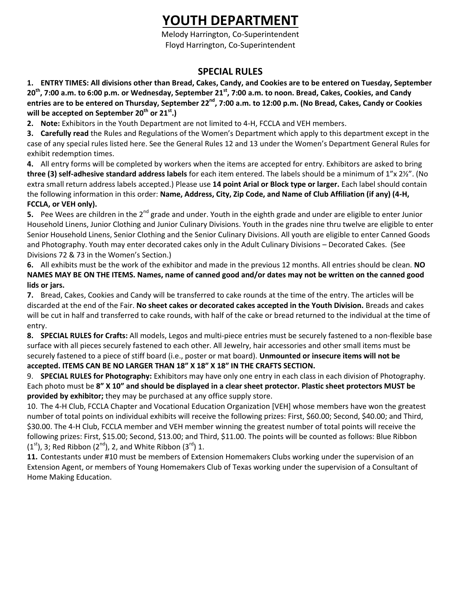# **YOUTH DEPARTMENT**

Melody Harrington, Co-Superintendent Floyd Harrington, Co-Superintendent

# **SPECIAL RULES**

**1. ENTRY TIMES: All divisions other than Bread, Cakes, Candy, and Cookies are to be entered on Tuesday, September**  20<sup>th</sup>, 7:00 a.m. to 6:00 p.m. or Wednesday, September 21<sup>st</sup>, 7:00 a.m. to noon. Bread, Cakes, Cookies, and Candy **entries are to be entered on Thursday, September 22nd , 7:00 a.m. to 12:00 p.m. (No Bread, Cakes, Candy or Cookies will be accepted on September 20th or 21st.)**

**2. Note:** Exhibitors in the Youth Department are not limited to 4-H, FCCLA and VEH members.

**3. Carefully read** the Rules and Regulations of the Women's Department which apply to this department except in the case of any special rules listed here. See the General Rules 12 and 13 under the Women's Department General Rules for exhibit redemption times.

**4.** All entry forms will be completed by workers when the items are accepted for entry. Exhibitors are asked to bring **three (3) self-adhesive standard address labels** for each item entered. The labels should be a minimum of 1"x 2½". (No extra small return address labels accepted.) Please use **14 point Arial or Block type or larger.** Each label should contain the following information in this order: **Name, Address, City, Zip Code, and Name of Club Affiliation (if any) (4-H, FCCLA, or VEH only).**

**5.** Pee Wees are children in the 2<sup>nd</sup> grade and under. Youth in the eighth grade and under are eligible to enter Junior Household Linens, Junior Clothing and Junior Culinary Divisions. Youth in the grades nine thru twelve are eligible to enter Senior Household Linens, Senior Clothing and the Senior Culinary Divisions. All youth are eligible to enter Canned Goods and Photography. Youth may enter decorated cakes only in the Adult Culinary Divisions – Decorated Cakes. (See Divisions 72 & 73 in the Women's Section.)

**6.** All exhibits must be the work of the exhibitor and made in the previous 12 months. All entries should be clean. **NO NAMES MAY BE ON THE ITEMS. Names, name of canned good and/or dates may not be written on the canned good lids or jars.** 

**7.** Bread, Cakes, Cookies and Candy will be transferred to cake rounds at the time of the entry. The articles will be discarded at the end of the Fair. **No sheet cakes or decorated cakes accepted in the Youth Division.** Breads and cakes will be cut in half and transferred to cake rounds, with half of the cake or bread returned to the individual at the time of entry.

**8. SPECIAL RULES for Crafts:** All models, Legos and multi-piece entries must be securely fastened to a non-flexible base surface with all pieces securely fastened to each other. All Jewelry, hair accessories and other small items must be securely fastened to a piece of stiff board (i.e., poster or mat board). **Unmounted or insecure items will not be accepted. ITEMS CAN BE NO LARGER THAN 18" X 18" X 18" IN THE CRAFTS SECTION.**

9. **SPECIAL RULES for Photography:** Exhibitors may have only one entry in each class in each division of Photography. Each photo must be **8" X 10" and should be displayed in a clear sheet protector. Plastic sheet protectors MUST be provided by exhibitor;** they may be purchased at any office supply store.

10. The 4-H Club, FCCLA Chapter and Vocational Education Organization [VEH] whose members have won the greatest number of total points on individual exhibits will receive the following prizes: First, \$60.00; Second, \$40.00; and Third, \$30.00. The 4-H Club, FCCLA member and VEH member winning the greatest number of total points will receive the following prizes: First, \$15.00; Second, \$13.00; and Third, \$11.00. The points will be counted as follows: Blue Ribbon  $(1<sup>st</sup>)$ , 3; Red Ribbon  $(2<sup>nd</sup>)$ , 2, and White Ribbon  $(3<sup>rd</sup>)$  1.

**11.** Contestants under #10 must be members of Extension Homemakers Clubs working under the supervision of an Extension Agent, or members of Young Homemakers Club of Texas working under the supervision of a Consultant of Home Making Education.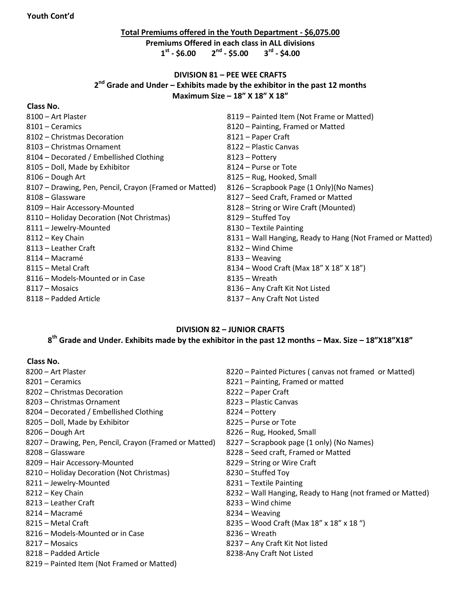# **Total Premiums offered in the Youth Department - \$6,075.00 Premiums Offered in each class in ALL divisions st - \$6.00 2nd - \$5.00 3rd - \$4.00**

## **DIVISION 81 – PEE WEE CRAFTS nd Grade and Under – Exhibits made by the exhibitor in the past 12 months Maximum Size – 18" X 18" X 18"**

## **Class No.**

| 8100 – Art Plaster                                     | 8119 – Painted Item (Not Frame or Matted)                 |
|--------------------------------------------------------|-----------------------------------------------------------|
| 8101 – Ceramics                                        | 8120 - Painting, Framed or Matted                         |
| 8102 – Christmas Decoration                            | 8121 – Paper Craft                                        |
| 8103 – Christmas Ornament                              | 8122 – Plastic Canvas                                     |
| 8104 - Decorated / Embellished Clothing                | 8123 – Pottery                                            |
| 8105 - Doll, Made by Exhibitor                         | 8124 – Purse or Tote                                      |
| 8106 - Dough Art                                       | 8125 - Rug, Hooked, Small                                 |
| 8107 - Drawing, Pen, Pencil, Crayon (Framed or Matted) | 8126 – Scrapbook Page (1 Only)(No Names)                  |
| 8108 – Glassware                                       | 8127 - Seed Craft, Framed or Matted                       |
| 8109 - Hair Accessory-Mounted                          | 8128 – String or Wire Craft (Mounted)                     |
| 8110 - Holiday Decoration (Not Christmas)              | 8129 – Stuffed Toy                                        |
| 8111 - Jewelry-Mounted                                 | 8130 - Textile Painting                                   |
| 8112 - Key Chain                                       | 8131 – Wall Hanging, Ready to Hang (Not Framed or Matted) |
| 8113 – Leather Craft                                   | 8132 - Wind Chime                                         |
| 8114 – Macramé                                         | 8133 – Weaving                                            |
| 8115 – Metal Craft                                     | 8134 – Wood Craft (Max 18" X 18" X 18")                   |
| 8116 - Models-Mounted or in Case                       | 8135 – Wreath                                             |
| 8117 – Mosaics                                         | 8136 - Any Craft Kit Not Listed                           |
| 8118 – Padded Article                                  | 8137 - Any Craft Not Listed                               |

# **DIVISION 82 – JUNIOR CRAFTS**

# **th Grade and Under. Exhibits made by the exhibitor in the past 12 months – Max. Size – 18"X18"X18"**

#### **Class No.**

| 8200 – Art Plaster                                     | 8220 – Painted Pictures (canvas not framed or Matted)     |
|--------------------------------------------------------|-----------------------------------------------------------|
| 8201 – Ceramics                                        | 8221 – Painting, Framed or matted                         |
| 8202 – Christmas Decoration                            | 8222 – Paper Craft                                        |
| 8203 - Christmas Ornament                              | 8223 - Plastic Canvas                                     |
| 8204 – Decorated / Embellished Clothing                | 8224 – Pottery                                            |
| 8205 - Doll, Made by Exhibitor                         | 8225 - Purse or Tote                                      |
| 8206 - Dough Art                                       | 8226 – Rug, Hooked, Small                                 |
| 8207 - Drawing, Pen, Pencil, Crayon (Framed or Matted) | 8227 – Scrapbook page (1 only) (No Names)                 |
| 8208 - Glassware                                       | 8228 – Seed craft, Framed or Matted                       |
| 8209 - Hair Accessory-Mounted                          | 8229 – String or Wire Craft                               |
| 8210 - Holiday Decoration (Not Christmas)              | 8230 – Stuffed Toy                                        |
| 8211 - Jewelry-Mounted                                 | 8231 – Textile Painting                                   |
| 8212 – Key Chain                                       | 8232 – Wall Hanging, Ready to Hang (not framed or Matted) |
| 8213 – Leather Craft                                   | 8233 - Wind chime                                         |
| 8214 – Macramé                                         | 8234 – Weaving                                            |
| 8215 – Metal Craft                                     | 8235 - Wood Craft (Max 18" x 18" x 18")                   |
| 8216 – Models-Mounted or in Case                       | $8236 - W$ reath                                          |
| 8217 – Mosaics                                         | 8237 - Any Craft Kit Not listed                           |
| 8218 – Padded Article                                  | 8238-Any Craft Not Listed                                 |
| 8219 – Painted Item (Not Framed or Matted)             |                                                           |
|                                                        |                                                           |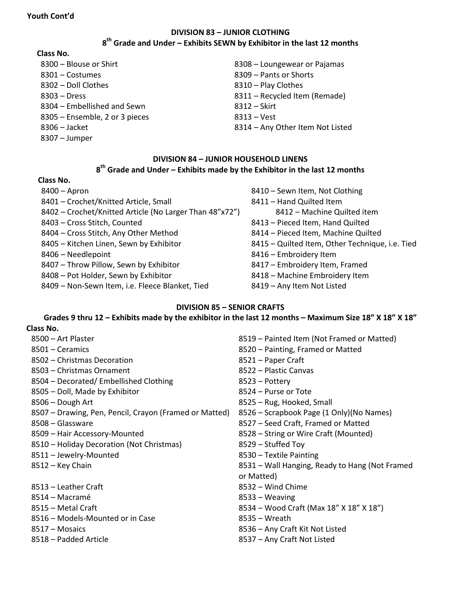# **DIVISION 83 – JUNIOR CLOTHING th Grade and Under – Exhibits SEWN by Exhibitor in the last 12 months**

## **Class No.**

- 8300 Blouse or Shirt **8308 Loungewear or Pajamas** – Costumes 8309 – Pants or Shorts – Doll Clothes 8310 – Play Clothes – Dress 8311 – Recycled Item (Remade) 8304 – Embellished and Sewn 8312 – Skirt 8305 – Ensemble, 2 or 3 pieces 8313 – Vest – Jacket 8314 – Any Other Item Not Listed – Jumper
- -

## **DIVISION 84 – JUNIOR HOUSEHOLD LINENS th Grade and Under – Exhibits made by the Exhibitor in the last 12 months**

## **Class No.**

| $8400 -$ Apron                                          | 8410 - Sewn Item, Not Clothing                  |
|---------------------------------------------------------|-------------------------------------------------|
| 8401 - Crochet/Knitted Article, Small                   | 8411 - Hand Quilted Item                        |
| 8402 - Crochet/Knitted Article (No Larger Than 48"x72") | 8412 - Machine Quilted item                     |
| 8403 - Cross Stitch, Counted                            | 8413 - Pieced Item, Hand Quilted                |
| 8404 - Cross Stitch, Any Other Method                   | 8414 - Pieced Item, Machine Quilted             |
| 8405 - Kitchen Linen, Sewn by Exhibitor                 | 8415 - Quilted Item, Other Technique, i.e. Tied |
| 8406 - Needlepoint                                      | 8416 - Embroidery Item                          |
| 8407 - Throw Pillow, Sewn by Exhibitor                  | 8417 - Embroidery Item, Framed                  |
| 8408 - Pot Holder, Sewn by Exhibitor                    | 8418 - Machine Embroidery Item                  |
| 8409 - Non-Sewn Item, i.e. Fleece Blanket, Tied         | 8419 - Any Item Not Listed                      |

## **DIVISION 85 – SENIOR CRAFTS**

#### **Grades 9 thru 12 – Exhibits made by the exhibitor in the last 12 months – Maximum Size 18" X 18" X 18" Class No.**

- 
- 
- 8502 Christmas Decoration 8502 Paper Craft
- Christmas Ornament 8522 Plastic Canvas
- 8504 Decorated/ Embellished Clothing 8504 Pottery
- Doll, Made by Exhibitor 8524 Purse or Tote
- 
- Drawing, Pen, Pencil, Crayon (Framed or Matted) 8526 Scrapbook Page (1 Only)(No Names)
- 
- 
- Holiday Decoration (Not Christmas) 8529 Stuffed Toy
- Jewelry-Mounted 8530 Textile Painting
- 
- Leather Craft 8532 Wind Chime
- 
- 
- 8516 Models-Mounted or in Case 8535 Wreath
- 
- 
- Art Plaster 8519 Painted Item (Not Framed or Matted) – Ceramics 8520 – Painting, Framed or Matted 8506 – Dough Art **8506 – Rug, Hooked, Small** – Glassware 8527 – Seed Craft, Framed or Matted – Hair Accessory-Mounted 8528 – String or Wire Craft (Mounted) – Key Chain 8531 – Wall Hanging, Ready to Hang (Not Framed or Matted) – Macramé 8533 – Weaving – Metal Craft 8534 – Wood Craft (Max 18" X 18" X 18") – Mosaics 8536 – Any Craft Kit Not Listed – Padded Article 8537 – Any Craft Not Listed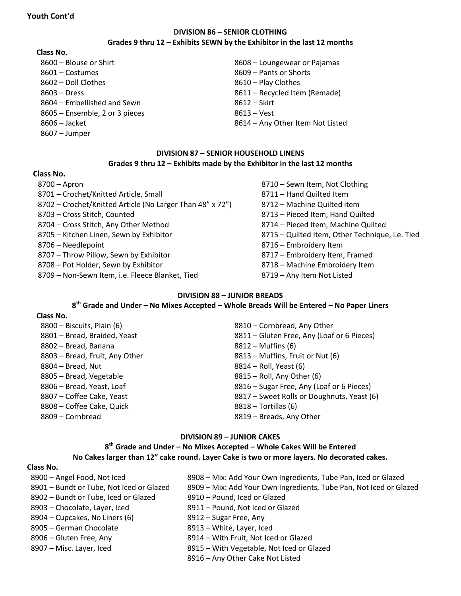## **DIVISION 86 – SENIOR CLOTHING Grades 9 thru 12 – Exhibits SEWN by the Exhibitor in the last 12 months**

#### **Class No.**

- 8601 Costumes 8609 Pants or Shorts 8602 – Doll Clothes 8610 – Play Clothes 8604 – Embellished and Sewn 8612 – Skirt 8605 – Ensemble, 2 or 3 pieces 8613 – Vest
- 
- 
- 8607 Jumper

8600 – Blouse or Shirt **8608** – Loungewear or Pajamas 8603 – Dress 8611 – Recycled Item (Remade)

8606 – Jacket 8614 – Any Other Item Not Listed

## **DIVISION 87 – SENIOR HOUSEHOLD LINENS Grades 9 thru 12 – Exhibits made by the Exhibitor in the last 12 months**

#### **Class No.**

| 8700 - Apron                                              |
|-----------------------------------------------------------|
| 8701 - Crochet/Knitted Article, Small                     |
| 8702 – Crochet/Knitted Article (No Larger Than 48" x 72") |
| 8703 - Cross Stitch, Counted                              |
| 8704 - Cross Stitch, Any Other Method                     |
| 8705 - Kitchen Linen, Sewn by Exhibitor                   |
| 8706 - Needlepoint                                        |
| 8707 - Throw Pillow, Sewn by Exhibitor                    |
| 8708 - Pot Holder, Sewn by Exhibitor                      |
| 8709 – Non-Sewn Item. i.e. Fleece Blanket. Tied           |

8710 – Sewn Item, Not Clothing 8711 – Hand Quilted Item 8712 – Machine Quilted item 8713 – Pieced Item, Hand Quilted 8714 – Pieced Item, Machine Quilted 8715 – Quilted Item, Other Technique, i.e. Tied 8716 – Embroidery Item 8717 – Embroidery Item, Framed 8718 – Machine Embroidery Item 8719 – Any Item Not Listed

## **DIVISION 88 – JUNIOR BREADS**

**8 th Grade and Under – No Mixes Accepted – Whole Breads Will be Entered – No Paper Liners**

#### **Class No.**

| 8800 - Biscuits, Plain (6)     | 8810 - Cornbread, Any Other                |
|--------------------------------|--------------------------------------------|
| 8801 - Bread, Braided, Yeast   | 8811 - Gluten Free, Any (Loaf or 6 Pieces) |
| 8802 - Bread, Banana           | 8812 – Muffins (6)                         |
| 8803 - Bread, Fruit, Any Other | 8813 - Muffins, Fruit or Nut (6)           |
| 8804 – Bread, Nut              | 8814 – Roll, Yeast (6)                     |
| 8805 - Bread, Vegetable        | 8815 - Roll, Any Other (6)                 |
| 8806 - Bread, Yeast, Loaf      | 8816 - Sugar Free, Any (Loaf or 6 Pieces)  |
| 8807 – Coffee Cake, Yeast      | 8817 - Sweet Rolls or Doughnuts, Yeast (6) |
| 8808 - Coffee Cake, Quick      | $8818 - \text{Tortillas}$ (6)              |
| 8809 – Cornbread               | 8819 - Breads, Any Other                   |

#### **DIVISION 89 – JUNIOR CAKES**

## **8 th Grade and Under – No Mixes Accepted – Whole Cakes Will be Entered No Cakes larger than 12" cake round. Layer Cake is two or more layers. No decorated cakes.**

#### **Class No.**

| 8900 - Angel Food, Not Iced              | 8908 – Mix: Add Your Own Ingredients, Tube Pan, Iced or Glazed     |
|------------------------------------------|--------------------------------------------------------------------|
| 8901 - Bundt or Tube, Not Iced or Glazed | 8909 - Mix: Add Your Own Ingredients, Tube Pan, Not Iced or Glazed |
| 8902 - Bundt or Tube, Iced or Glazed     | 8910 - Pound, Iced or Glazed                                       |
| 8903 - Chocolate, Layer, Iced            | 8911 - Pound, Not Iced or Glazed                                   |
| 8904 – Cupcakes, No Liners (6)           | 8912 – Sugar Free, Any                                             |
| 8905 - German Chocolate                  | 8913 - White, Layer, Iced                                          |
| 8906 – Gluten Free, Any                  | 8914 - With Fruit, Not Iced or Glazed                              |
| 8907 - Misc. Layer, Iced                 | 8915 – With Vegetable, Not Iced or Glazed                          |
|                                          | 8916 - Any Other Cake Not Listed                                   |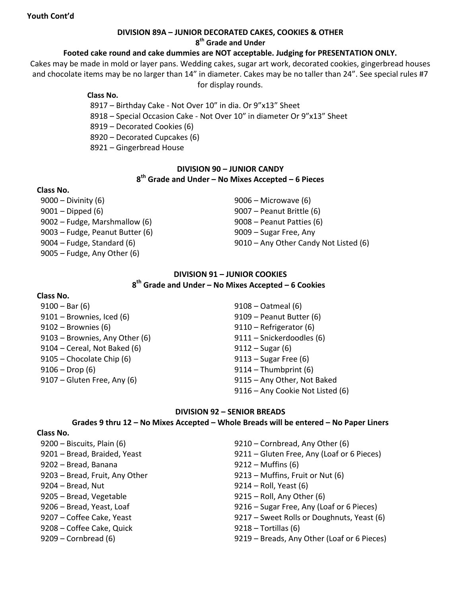## **DIVISION 89A – JUNIOR DECORATED CAKES, COOKIES & OTHER**

**th Grade and Under**

# **Footed cake round and cake dummies are NOT acceptable. Judging for PRESENTATION ONLY.**

Cakes may be made in mold or layer pans. Wedding cakes, sugar art work, decorated cookies, gingerbread houses and chocolate items may be no larger than 14" in diameter. Cakes may be no taller than 24". See special rules #7 for display rounds.

#### **Class No.**

– Birthday Cake - Not Over 10" in dia. Or 9"x13" Sheet

- Special Occasion Cake Not Over 10" in diameter Or 9"x13" Sheet
- Decorated Cookies (6)
- Decorated Cupcakes (6)
- Gingerbread House

## **DIVISION 90 – JUNIOR CANDY th Grade and Under – No Mixes Accepted – 6 Pieces**

## **Class No.**

– Divinity (6) 9006 – Microwave (6) – Dipped (6) 9007 – Peanut Brittle (6) – Fudge, Marshmallow (6) 9008 – Peanut Patties (6) – Fudge, Peanut Butter (6) 9009 – Sugar Free, Any – Fudge, Any Other (6)

– Fudge, Standard (6) 9010 – Any Other Candy Not Listed (6)

# **DIVISION 91 – JUNIOR COOKIES th Grade and Under – No Mixes Accepted – 6 Cookies**

## **Class No.**

– Bar (6) 9108 – Oatmeal (6) – Brownies, Iced (6) 9109 – Peanut Butter (6) – Brownies (6) 9110 – Refrigerator (6) – Brownies, Any Other (6) 9111 – Snickerdoodles (6) – Cereal, Not Baked (6) 9112 – Sugar (6) – Chocolate Chip (6) 9113 – Sugar Free (6) – Drop (6) 9114 – Thumbprint (6) – Gluten Free, Any (6) 9115 – Any Other, Not Baked

– Any Cookie Not Listed (6)

## **DIVISION 92 – SENIOR BREADS**

## **Grades 9 thru 12 – No Mixes Accepted – Whole Breads will be entered – No Paper Liners**

#### **Class No.**

– Bread, Banana 9212 – Muffins (6) – Bread, Fruit, Any Other 9213 – Muffins, Fruit or Nut (6) – Bread, Nut 9214 – Roll, Yeast (6) – Bread, Vegetable 9215 – Roll, Any Other (6) – Coffee Cake, Quick 9218 – Tortillas (6)

– Biscuits, Plain (6) 9210 – Cornbread, Any Other (6) – Bread, Braided, Yeast 9211 – Gluten Free, Any (Loaf or 6 Pieces) – Bread, Yeast, Loaf 9216 – Sugar Free, Any (Loaf or 6 Pieces) 9207 – Coffee Cake, Yeast 2017 – Sweet Rolls or Doughnuts, Yeast (6) – Cornbread (6) 9219 – Breads, Any Other (Loaf or 6 Pieces)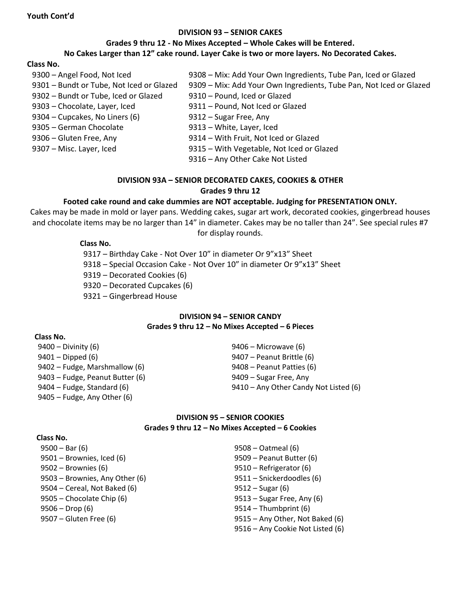#### **DIVISION 93 – SENIOR CAKES**

#### **Grades 9 thru 12 - No Mixes Accepted – Whole Cakes will be Entered.**

#### **No Cakes Larger than 12" cake round. Layer Cake is two or more layers. No Decorated Cakes.**

#### **Class No.**

| 9300 - Angel Food, Not Iced              | 9308 - Mix: Add Your Own Ingredients, Tube Pan, Iced or Glazed     |
|------------------------------------------|--------------------------------------------------------------------|
| 9301 - Bundt or Tube, Not Iced or Glazed | 9309 - Mix: Add Your Own Ingredients, Tube Pan, Not Iced or Glazed |
| 9302 - Bundt or Tube, Iced or Glazed     | 9310 - Pound, Iced or Glazed                                       |
| 9303 - Chocolate, Layer, Iced            | 9311 - Pound, Not Iced or Glazed                                   |
| 9304 – Cupcakes, No Liners (6)           | 9312 - Sugar Free, Any                                             |
| 9305 - German Chocolate                  | 9313 - White, Layer, Iced                                          |
| 9306 – Gluten Free, Any                  | 9314 - With Fruit, Not Iced or Glazed                              |
| 9307 - Misc. Layer, Iced                 | 9315 - With Vegetable, Not Iced or Glazed                          |
|                                          | 9316 - Any Other Cake Not Listed                                   |

## **DIVISION 93A – SENIOR DECORATED CAKES, COOKIES & OTHER Grades 9 thru 12**

#### **Footed cake round and cake dummies are NOT acceptable. Judging for PRESENTATION ONLY.**

Cakes may be made in mold or layer pans. Wedding cakes, sugar art work, decorated cookies, gingerbread houses and chocolate items may be no larger than 14" in diameter. Cakes may be no taller than 24". See special rules #7 for display rounds.

#### **Class No.**

– Birthday Cake - Not Over 10" in diameter Or 9"x13" Sheet

– Special Occasion Cake - Not Over 10" in diameter Or 9"x13" Sheet

- Decorated Cookies (6)
- Decorated Cupcakes (6)
- Gingerbread House

#### **DIVISION 94 – SENIOR CANDY Grades 9 thru 12 – No Mixes Accepted – 6 Pieces**

#### **Class No.**

– Divinity (6) 9406 – Microwave (6) – Dipped (6) 9407 – Peanut Brittle (6) – Fudge, Marshmallow (6) 9408 – Peanut Patties (6) – Fudge, Peanut Butter (6) 9409 – Sugar Free, Any – Fudge, Any Other (6)

– Fudge, Standard (6) 9410 – Any Other Candy Not Listed (6)

#### **DIVISION 95 – SENIOR COOKIES Grades 9 thru 12 – No Mixes Accepted – 6 Cookies**

#### **Class No.**

| $9500 - Bar(6)$                | 9508 – Oatmeal (6)               |
|--------------------------------|----------------------------------|
| 9501 - Brownies, Iced (6)      | 9509 - Peanut Butter (6)         |
| $9502 -$ Brownies (6)          | 9510 - Refrigerator (6)          |
| 9503 - Brownies, Any Other (6) | 9511 - Snickerdoodles (6)        |
| 9504 – Cereal, Not Baked (6)   | $9512 - Sugar(6)$                |
| 9505 – Chocolate Chip (6)      | 9513 – Sugar Free, Any (6)       |
| $9506 - Drop(6)$               | $9514 - Thumbprint(6)$           |
| 9507 – Gluten Free (6)         | 9515 - Any Other, Not Baked (6)  |
|                                | 9516 - Any Cookie Not Listed (6) |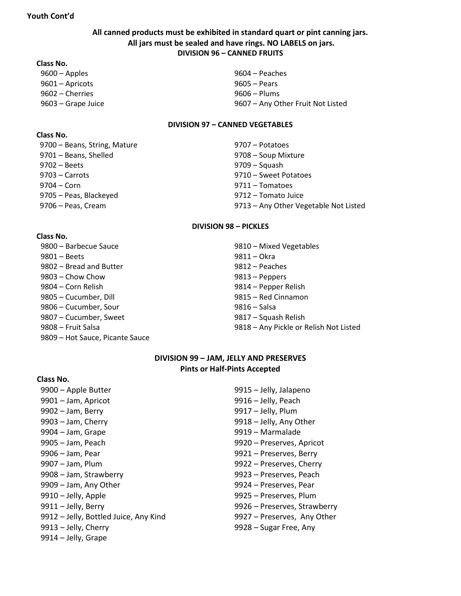## **All canned products must be exhibited in standard quart or pint canning jars. All jars must be sealed and have rings. NO LABELS on jars. DIVISION 96 – CANNED FRUITS**

#### **Class No.**

– Apples 9604 – Peaches – Apricots 9605 – Pears – Cherries 9606 – Plums

– Grape Juice 9607 – Any Other Fruit Not Listed

#### **DIVISION 97 – CANNED VEGETABLES**

#### **Class No.**

 **Class No.** 

9700 – Beans, String, Mature 19700 – Potatoes – Beans, Shelled 9708 – Soup Mixture – Beets 9709 – Squash – Carrots 9710 – Sweet Potatoes – Corn 9711 – Tomatoes – Peas, Blackeyed 9712 – Tomato Juice – Peas, Cream 9713 – Any Other Vegetable Not Listed

#### **DIVISION 98 – PICKLES**

| 9800 – Barbecue Sauce           | 9810 - Mixed Vegetables                |
|---------------------------------|----------------------------------------|
| $9801 - Beets$                  | 9811 - Okra                            |
| 9802 – Bread and Butter         | 9812 – Peaches                         |
| $9803$ – Chow Chow              | 9813 – Peppers                         |
| 9804 – Corn Relish              | 9814 – Pepper Relish                   |
| 9805 - Cucumber, Dill           | 9815 - Red Cinnamon                    |
| 9806 – Cucumber, Sour           | 9816 – Salsa                           |
| 9807 - Cucumber, Sweet          | 9817 – Squash Relish                   |
| 9808 - Fruit Salsa              | 9818 - Any Pickle or Relish Not Listed |
| 9809 - Hot Sauce, Picante Sauce |                                        |
|                                 |                                        |

## **DIVISION 99 – JAM, JELLY AND PRESERVES Pints or Half-Pints Accepted**

#### **Class No.**

– Apple Butter 9915 – Jelly, Jalapeno – Jam, Apricot 9916 – Jelly, Peach – Jam, Berry 9917 – Jelly, Plum – Jam, Cherry 9918 – Jelly, Any Other – Jam, Grape 9919 – Marmalade – Jam, Peach 9920 – Preserves, Apricot – Jam, Pear 9921 – Preserves, Berry – Jam, Plum 9922 – Preserves, Cherry – Jam, Strawberry 9923 – Preserves, Peach – Jam, Any Other 9924 – Preserves, Pear – Jelly, Apple 9925 – Preserves, Plum – Jelly, Berry 9926 – Preserves, Strawberry 9912 – Jelly, Bottled Juice, Any Kind 9927 – Preserves, Any Other – Jelly, Cherry 9928 – Sugar Free, Any – Jelly, Grape